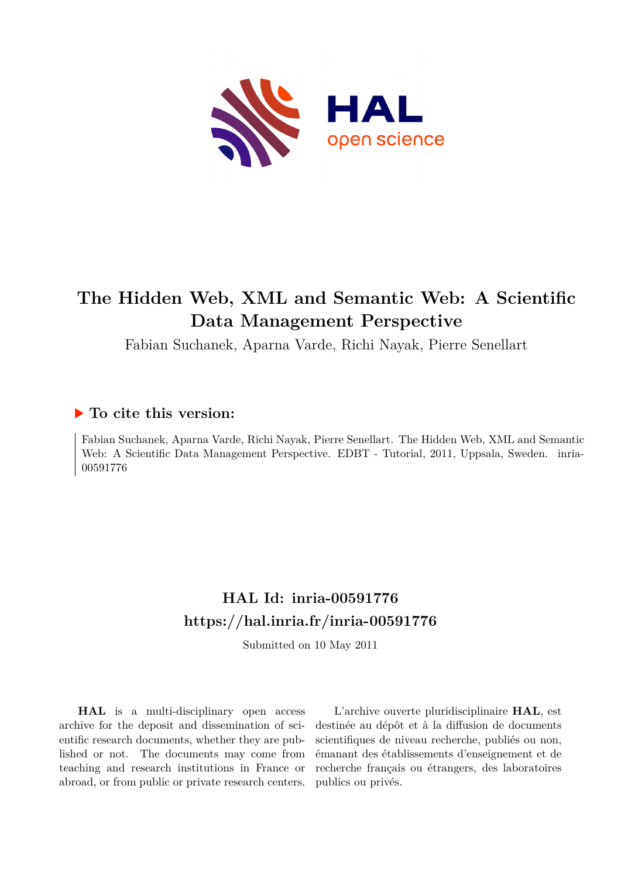

# **The Hidden Web, XML and Semantic Web: A Scientific Data Management Perspective**

Fabian Suchanek, Aparna Varde, Richi Nayak, Pierre Senellart

# **To cite this version:**

Fabian Suchanek, Aparna Varde, Richi Nayak, Pierre Senellart. The Hidden Web, XML and Semantic Web: A Scientific Data Management Perspective. EDBT - Tutorial, 2011, Uppsala, Sweden. inria-00591776ff

# **HAL Id: inria-00591776 <https://hal.inria.fr/inria-00591776>**

Submitted on 10 May 2011

**HAL** is a multi-disciplinary open access archive for the deposit and dissemination of scientific research documents, whether they are published or not. The documents may come from teaching and research institutions in France or abroad, or from public or private research centers.

L'archive ouverte pluridisciplinaire **HAL**, est destinée au dépôt et à la diffusion de documents scientifiques de niveau recherche, publiés ou non, émanant des établissements d'enseignement et de recherche français ou étrangers, des laboratoires publics ou privés.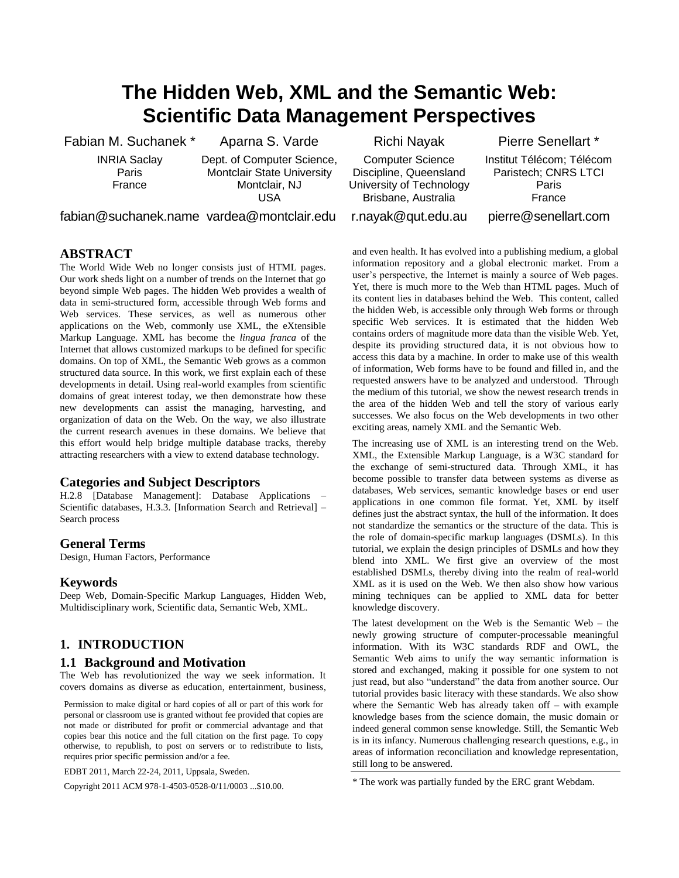# **The Hidden Web, XML and the Semantic Web: Scientific Data Management Perspectives**

Fabian M. Suchanek \*

INRIA Saclay Paris France

Aparna S. Varde Dept. of Computer Science, Montclair State University Montclair, NJ USA

fabian@suchanek.name vardea@montclair.edu

#### **ABSTRACT**

The World Wide Web no longer consists just of HTML pages. Our work sheds light on a number of trends on the Internet that go beyond simple Web pages. The hidden Web provides a wealth of data in semi-structured form, accessible through Web forms and Web services. These services, as well as numerous other applications on the Web, commonly use XML, the eXtensible Markup Language. XML has become the *lingua franca* of the Internet that allows customized markups to be defined for specific domains. On top of XML, the Semantic Web grows as a common structured data source. In this work, we first explain each of these developments in detail. Using real-world examples from scientific domains of great interest today, we then demonstrate how these new developments can assist the managing, harvesting, and organization of data on the Web. On the way, we also illustrate the current research avenues in these domains. We believe that this effort would help bridge multiple database tracks, thereby attracting researchers with a view to extend database technology.

### **Categories and Subject Descriptors**

H.2.8 [Database Management]: Database Applications – Scientific databases, H.3.3. [Information Search and Retrieval] – Search process

#### **General Terms**

Design, Human Factors, Performance

#### **Keywords**

Deep Web, Domain-Specific Markup Languages, Hidden Web, Multidisciplinary work, Scientific data, Semantic Web, XML.

### **1. INTRODUCTION**

#### **1.1 Background and Motivation**

The Web has revolutionized the way we seek information. It covers domains as diverse as education, entertainment, business,

Permission to make digital or hard copies of all or part of this work for personal or classroom use is granted without fee provided that copies are not made or distributed for profit or commercial advantage and that copies bear this notice and the full citation on the first page. To copy otherwise, to republish, to post on servers or to redistribute to lists, requires prior specific permission and/or a fee.

EDBT 2011, March 22-24, 2011, Uppsala, Sweden.

Copyright 2011 ACM 978-1-4503-0528-0/11/0003 ...\$10.00.

Richi Nayak

Computer Science Discipline, Queensland University of Technology Brisbane, Australia

Pierre Senellart \* Institut Télécom; Télécom Paristech; CNRS LTCI Paris France

r.nayak@qut.edu.au

pierre@xsenellart.com

and even health. It has evolved into a publishing medium, a global information repository and a global electronic market. From a user's perspective, the Internet is mainly a source of Web pages. Yet, there is much more to the Web than HTML pages. Much of its content lies in databases behind the Web. This content, called the hidden Web, is accessible only through Web forms or through specific Web services. It is estimated that the hidden Web contains orders of magnitude more data than the visible Web. Yet, despite its providing structured data, it is not obvious how to access this data by a machine. In order to make use of this wealth of information, Web forms have to be found and filled in, and the requested answers have to be analyzed and understood. Through the medium of this tutorial, we show the newest research trends in the area of the hidden Web and tell the story of various early successes. We also focus on the Web developments in two other exciting areas, namely XML and the Semantic Web.

The increasing use of XML is an interesting trend on the Web. XML, the Extensible Markup Language, is a W3C standard for the exchange of semi-structured data. Through XML, it has become possible to transfer data between systems as diverse as databases, Web services, semantic knowledge bases or end user applications in one common file format. Yet, XML by itself defines just the abstract syntax, the hull of the information. It does not standardize the semantics or the structure of the data. This is the role of domain-specific markup languages (DSMLs). In this tutorial, we explain the design principles of DSMLs and how they blend into XML. We first give an overview of the most established DSMLs, thereby diving into the realm of real-world XML as it is used on the Web. We then also show how various mining techniques can be applied to XML data for better knowledge discovery.

The latest development on the Web is the Semantic Web – the newly growing structure of computer-processable meaningful information. With its W3C standards RDF and OWL, the Semantic Web aims to unify the way semantic information is stored and exchanged, making it possible for one system to not just read, but also "understand" the data from another source. Our tutorial provides basic literacy with these standards. We also show where the Semantic Web has already taken off – with example knowledge bases from the science domain, the music domain or indeed general common sense knowledge. Still, the Semantic Web is in its infancy. Numerous challenging research questions, e.g., in areas of information reconciliation and knowledge representation, still long to be answered.

\* The work was partially funded by the ERC grant Webdam.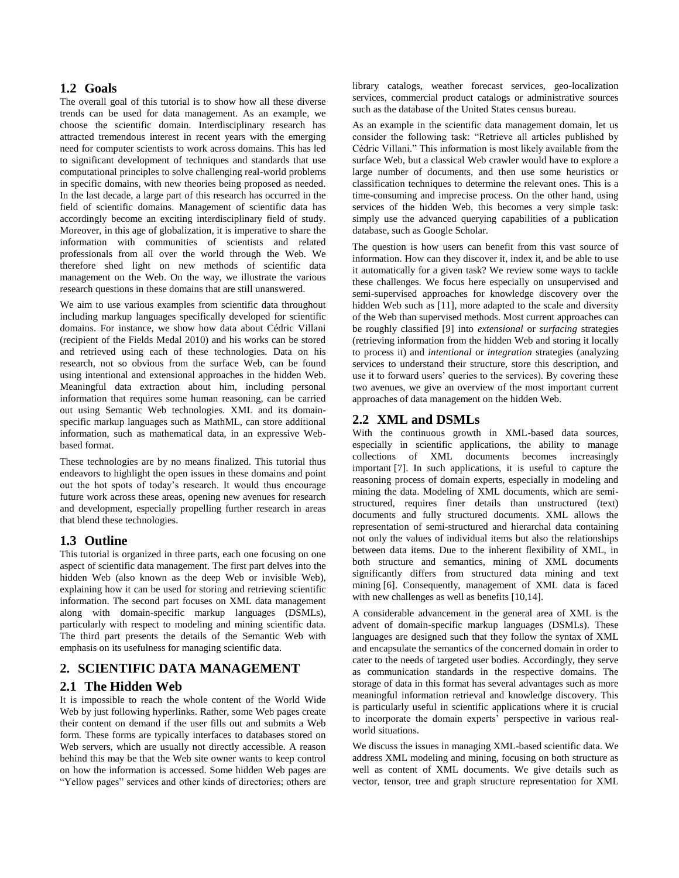# **1.2 Goals**

The overall goal of this tutorial is to show how all these diverse trends can be used for data management. As an example, we choose the scientific domain. Interdisciplinary research has attracted tremendous interest in recent years with the emerging need for computer scientists to work across domains. This has led to significant development of techniques and standards that use computational principles to solve challenging real-world problems in specific domains, with new theories being proposed as needed. In the last decade, a large part of this research has occurred in the field of scientific domains. Management of scientific data has accordingly become an exciting interdisciplinary field of study. Moreover, in this age of globalization, it is imperative to share the information with communities of scientists and related professionals from all over the world through the Web. We therefore shed light on new methods of scientific data management on the Web. On the way, we illustrate the various research questions in these domains that are still unanswered.

We aim to use various examples from scientific data throughout including markup languages specifically developed for scientific domains. For instance, we show how data about Cédric Villani (recipient of the Fields Medal 2010) and his works can be stored and retrieved using each of these technologies. Data on his research, not so obvious from the surface Web, can be found using intentional and extensional approaches in the hidden Web. Meaningful data extraction about him, including personal information that requires some human reasoning, can be carried out using Semantic Web technologies. XML and its domainspecific markup languages such as MathML, can store additional information, such as mathematical data, in an expressive Webbased format.

These technologies are by no means finalized. This tutorial thus endeavors to highlight the open issues in these domains and point out the hot spots of today's research. It would thus encourage future work across these areas, opening new avenues for research and development, especially propelling further research in areas that blend these technologies.

## **1.3 Outline**

This tutorial is organized in three parts, each one focusing on one aspect of scientific data management. The first part delves into the hidden Web (also known as the deep Web or invisible Web), explaining how it can be used for storing and retrieving scientific information. The second part focuses on XML data management along with domain-specific markup languages (DSMLs), particularly with respect to modeling and mining scientific data. The third part presents the details of the Semantic Web with emphasis on its usefulness for managing scientific data.

## **2. SCIENTIFIC DATA MANAGEMENT**

#### **2.1 The Hidden Web**

It is impossible to reach the whole content of the World Wide Web by just following hyperlinks. Rather, some Web pages create their content on demand if the user fills out and submits a Web form. These forms are typically interfaces to databases stored on Web servers, which are usually not directly accessible. A reason behind this may be that the Web site owner wants to keep control on how the information is accessed. Some hidden Web pages are "Yellow pages" services and other kinds of directories; others are library catalogs, weather forecast services, geo-localization services, commercial product catalogs or administrative sources such as the database of the United States census bureau.

As an example in the scientific data management domain, let us consider the following task: "Retrieve all articles published by Cédric Villani." This information is most likely available from the surface Web, but a classical Web crawler would have to explore a large number of documents, and then use some heuristics or classification techniques to determine the relevant ones. This is a time-consuming and imprecise process. On the other hand, using services of the hidden Web, this becomes a very simple task: simply use the advanced querying capabilities of a publication database, such as Google Scholar.

The question is how users can benefit from this vast source of information. How can they discover it, index it, and be able to use it automatically for a given task? We review some ways to tackle these challenges. We focus here especially on unsupervised and semi-supervised approaches for knowledge discovery over the hidden Web such as [11], more adapted to the scale and diversity of the Web than supervised methods. Most current approaches can be roughly classified [9] into *extensional* or *surfacing* strategies (retrieving information from the hidden Web and storing it locally to process it) and *intentional* or *integration* strategies (analyzing services to understand their structure, store this description, and use it to forward users' queries to the services). By covering these two avenues, we give an overview of the most important current approaches of data management on the hidden Web.

#### **2.2 XML and DSMLs**

With the continuous growth in XML-based data sources, especially in scientific applications, the ability to manage collections of XML documents becomes increasingly important [7]. In such applications, it is useful to capture the reasoning process of domain experts, especially in modeling and mining the data. Modeling of XML documents, which are semistructured, requires finer details than unstructured (text) documents and fully structured documents. XML allows the representation of semi-structured and hierarchal data containing not only the values of individual items but also the relationships between data items. Due to the inherent flexibility of XML, in both structure and semantics, mining of XML documents significantly differs from structured data mining and text mining [6]. Consequently, management of XML data is faced with new challenges as well as benefits [10,14].

A considerable advancement in the general area of XML is the advent of domain-specific markup languages (DSMLs). These languages are designed such that they follow the syntax of XML and encapsulate the semantics of the concerned domain in order to cater to the needs of targeted user bodies. Accordingly, they serve as communication standards in the respective domains. The storage of data in this format has several advantages such as more meaningful information retrieval and knowledge discovery. This is particularly useful in scientific applications where it is crucial to incorporate the domain experts' perspective in various realworld situations.

We discuss the issues in managing XML-based scientific data. We address XML modeling and mining, focusing on both structure as well as content of XML documents. We give details such as vector, tensor, tree and graph structure representation for XML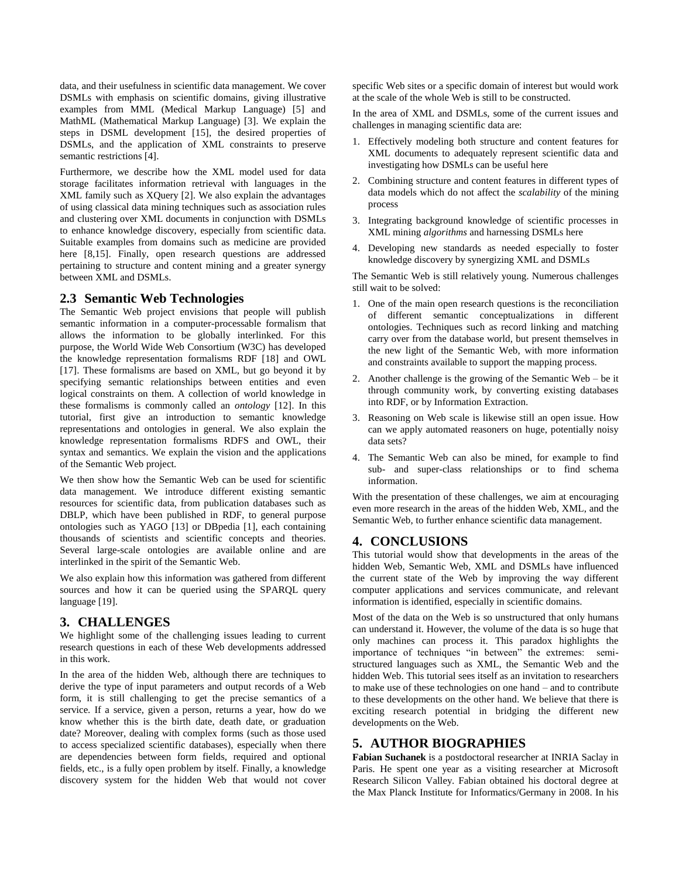data, and their usefulness in scientific data management. We cover DSMLs with emphasis on scientific domains, giving illustrative examples from MML (Medical Markup Language) [5] and MathML (Mathematical Markup Language) [3]. We explain the steps in DSML development [15], the desired properties of DSMLs, and the application of XML constraints to preserve semantic restrictions [4].

Furthermore, we describe how the XML model used for data storage facilitates information retrieval with languages in the XML family such as XQuery [2]. We also explain the advantages of using classical data mining techniques such as association rules and clustering over XML documents in conjunction with DSMLs to enhance knowledge discovery, especially from scientific data. Suitable examples from domains such as medicine are provided here [8,15]. Finally, open research questions are addressed pertaining to structure and content mining and a greater synergy between XML and DSMLs.

# **2.3 Semantic Web Technologies**

The Semantic Web project envisions that people will publish semantic information in a computer-processable formalism that allows the information to be globally interlinked. For this purpose, the World Wide Web Consortium (W3C) has developed the knowledge representation formalisms RDF [18] and OWL [17]. These formalisms are based on XML, but go beyond it by specifying semantic relationships between entities and even logical constraints on them. A collection of world knowledge in these formalisms is commonly called an *ontology* [12]. In this tutorial, first give an introduction to semantic knowledge representations and ontologies in general. We also explain the knowledge representation formalisms RDFS and OWL, their syntax and semantics. We explain the vision and the applications of the Semantic Web project.

We then show how the Semantic Web can be used for scientific data management. We introduce different existing semantic resources for scientific data, from publication databases such as DBLP, which have been published in RDF, to general purpose ontologies such as YAGO [13] or DBpedia [1], each containing thousands of scientists and scientific concepts and theories. Several large-scale ontologies are available online and are interlinked in the spirit of the Semantic Web.

We also explain how this information was gathered from different sources and how it can be queried using the SPARQL query language [19].

# **3. CHALLENGES**

We highlight some of the challenging issues leading to current research questions in each of these Web developments addressed in this work.

In the area of the hidden Web, although there are techniques to derive the type of input parameters and output records of a Web form, it is still challenging to get the precise semantics of a service. If a service, given a person, returns a year, how do we know whether this is the birth date, death date, or graduation date? Moreover, dealing with complex forms (such as those used to access specialized scientific databases), especially when there are dependencies between form fields, required and optional fields, etc., is a fully open problem by itself. Finally, a knowledge discovery system for the hidden Web that would not cover

specific Web sites or a specific domain of interest but would work at the scale of the whole Web is still to be constructed.

In the area of XML and DSMLs, some of the current issues and challenges in managing scientific data are:

- 1. Effectively modeling both structure and content features for XML documents to adequately represent scientific data and investigating how DSMLs can be useful here
- 2. Combining structure and content features in different types of data models which do not affect the *scalability* of the mining process
- 3. Integrating background knowledge of scientific processes in XML mining *algorithms* and harnessing DSMLs here
- 4. Developing new standards as needed especially to foster knowledge discovery by synergizing XML and DSMLs

The Semantic Web is still relatively young. Numerous challenges still wait to be solved:

- 1. One of the main open research questions is the reconciliation of different semantic conceptualizations in different ontologies. Techniques such as record linking and matching carry over from the database world, but present themselves in the new light of the Semantic Web, with more information and constraints available to support the mapping process.
- 2. Another challenge is the growing of the Semantic Web be it through community work, by converting existing databases into RDF, or by Information Extraction.
- 3. Reasoning on Web scale is likewise still an open issue. How can we apply automated reasoners on huge, potentially noisy data sets?
- 4. The Semantic Web can also be mined, for example to find sub- and super-class relationships or to find schema information.

With the presentation of these challenges, we aim at encouraging even more research in the areas of the hidden Web, XML, and the Semantic Web, to further enhance scientific data management.

# **4. CONCLUSIONS**

This tutorial would show that developments in the areas of the hidden Web, Semantic Web, XML and DSMLs have influenced the current state of the Web by improving the way different computer applications and services communicate, and relevant information is identified, especially in scientific domains.

Most of the data on the Web is so unstructured that only humans can understand it. However, the volume of the data is so huge that only machines can process it. This paradox highlights the importance of techniques "in between" the extremes: semistructured languages such as XML, the Semantic Web and the hidden Web. This tutorial sees itself as an invitation to researchers to make use of these technologies on one hand – and to contribute to these developments on the other hand. We believe that there is exciting research potential in bridging the different new developments on the Web.

# **5. AUTHOR BIOGRAPHIES**

**Fabian Suchanek** is a postdoctoral researcher at INRIA Saclay in Paris. He spent one year as a visiting researcher at Microsoft Research Silicon Valley. Fabian obtained his doctoral degree at the Max Planck Institute for Informatics/Germany in 2008. In his